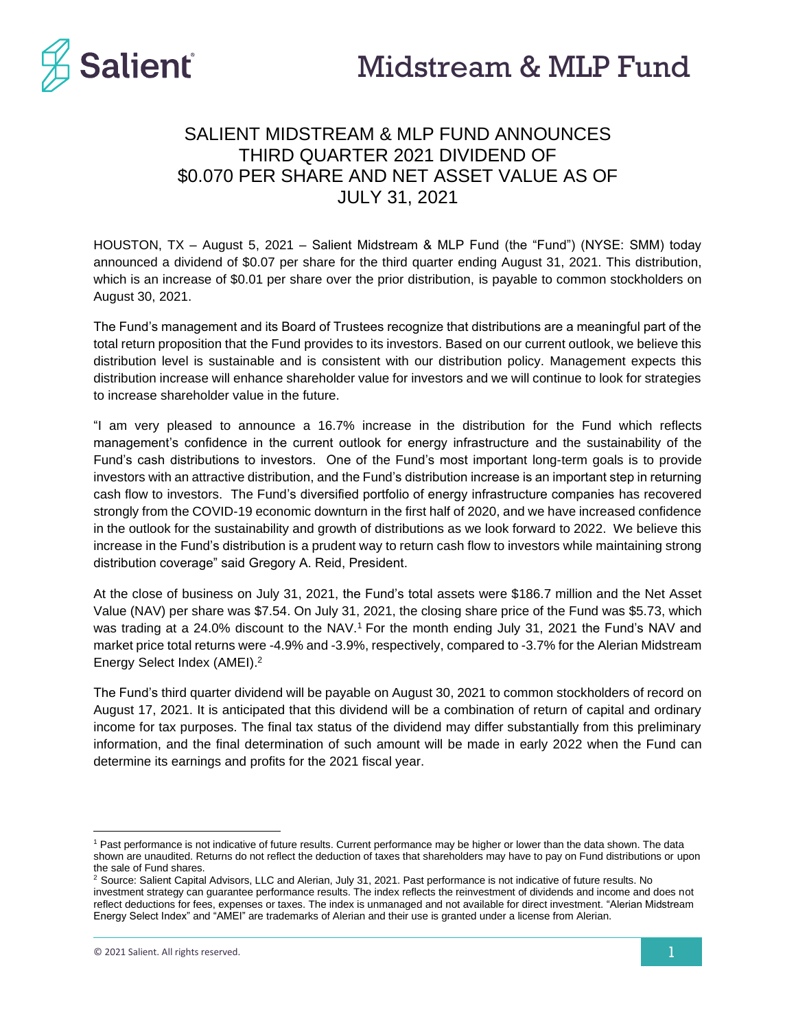

# SALIENT MIDSTREAM & MLP FUND ANNOUNCES THIRD QUARTER 2021 DIVIDEND OF \$0.070 PER SHARE AND NET ASSET VALUE AS OF JULY 31, 2021

HOUSTON, TX – August 5, 2021 – Salient Midstream & MLP Fund (the "Fund") (NYSE: SMM) today announced a dividend of \$0.07 per share for the third quarter ending August 31, 2021. This distribution, which is an increase of \$0.01 per share over the prior distribution, is payable to common stockholders on August 30, 2021.

The Fund's management and its Board of Trustees recognize that distributions are a meaningful part of the total return proposition that the Fund provides to its investors. Based on our current outlook, we believe this distribution level is sustainable and is consistent with our distribution policy. Management expects this distribution increase will enhance shareholder value for investors and we will continue to look for strategies to increase shareholder value in the future.

"I am very pleased to announce a 16.7% increase in the distribution for the Fund which reflects management's confidence in the current outlook for energy infrastructure and the sustainability of the Fund's cash distributions to investors. One of the Fund's most important long-term goals is to provide investors with an attractive distribution, and the Fund's distribution increase is an important step in returning cash flow to investors. The Fund's diversified portfolio of energy infrastructure companies has recovered strongly from the COVID-19 economic downturn in the first half of 2020, and we have increased confidence in the outlook for the sustainability and growth of distributions as we look forward to 2022. We believe this increase in the Fund's distribution is a prudent way to return cash flow to investors while maintaining strong distribution coverage" said Gregory A. Reid, President.

At the close of business on July 31, 2021, the Fund's total assets were \$186.7 million and the Net Asset Value (NAV) per share was \$7.54. On July 31, 2021, the closing share price of the Fund was \$5.73, which was trading at a 24.0% discount to the NAV.<sup>1</sup> For the month ending July 31, 2021 the Fund's NAV and market price total returns were -4.9% and -3.9%, respectively, compared to -3.7% for the Alerian Midstream Energy Select Index (AMEI). 2

The Fund's third quarter dividend will be payable on August 30, 2021 to common stockholders of record on August 17, 2021. It is anticipated that this dividend will be a combination of return of capital and ordinary income for tax purposes. The final tax status of the dividend may differ substantially from this preliminary information, and the final determination of such amount will be made in early 2022 when the Fund can determine its earnings and profits for the 2021 fiscal year.

<sup>1</sup> Past performance is not indicative of future results. Current performance may be higher or lower than the data shown. The data shown are unaudited. Returns do not reflect the deduction of taxes that shareholders may have to pay on Fund distributions or upon the sale of Fund shares.

<sup>&</sup>lt;sup>2</sup> Source: Salient Capital Advisors, LLC and Alerian, July 31, 2021. Past performance is not indicative of future results. No investment strategy can guarantee performance results. The index reflects the reinvestment of dividends and income and does not reflect deductions for fees, expenses or taxes. The index is unmanaged and not available for direct investment. "Alerian Midstream Energy Select Index" and "AMEI" are trademarks of Alerian and their use is granted under a license from Alerian.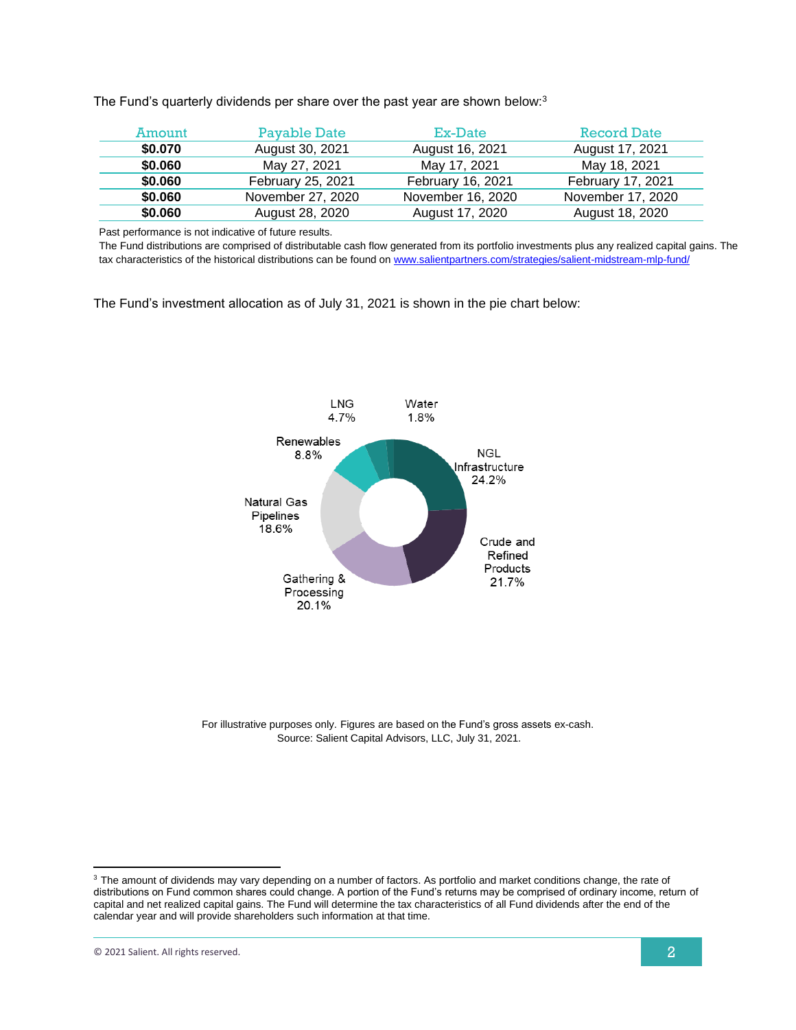The Fund's quarterly dividends per share over the past year are shown below:<sup>3</sup>

| Amount  | Payable Date      | Ex-Date           | <b>Record Date</b> |
|---------|-------------------|-------------------|--------------------|
| \$0.070 | August 30, 2021   | August 16, 2021   | August 17, 2021    |
| \$0.060 | May 27, 2021      | May 17, 2021      | May 18, 2021       |
| \$0.060 | February 25, 2021 | February 16, 2021 | February 17, 2021  |
| \$0.060 | November 27, 2020 | November 16, 2020 | November 17, 2020  |
| \$0.060 | August 28, 2020   | August 17, 2020   | August 18, 2020    |

Past performance is not indicative of future results.

The Fund distributions are comprised of distributable cash flow generated from its portfolio investments plus any realized capital gains. The tax characteristics of the historical distributions can be found on [www.salientpartners.com/strategies/salient-midstream-mlp-fund/](http://www.salientpartners.com/strategies/salient-midstream-mlp-fund/)

The Fund's investment allocation as of July 31, 2021 is shown in the pie chart below:



For illustrative purposes only. Figures are based on the Fund's gross assets ex-cash. Source: Salient Capital Advisors, LLC, July 31, 2021.

<sup>&</sup>lt;sup>3</sup> The amount of dividends may vary depending on a number of factors. As portfolio and market conditions change, the rate of distributions on Fund common shares could change. A portion of the Fund's returns may be comprised of ordinary income, return of capital and net realized capital gains. The Fund will determine the tax characteristics of all Fund dividends after the end of the calendar year and will provide shareholders such information at that time.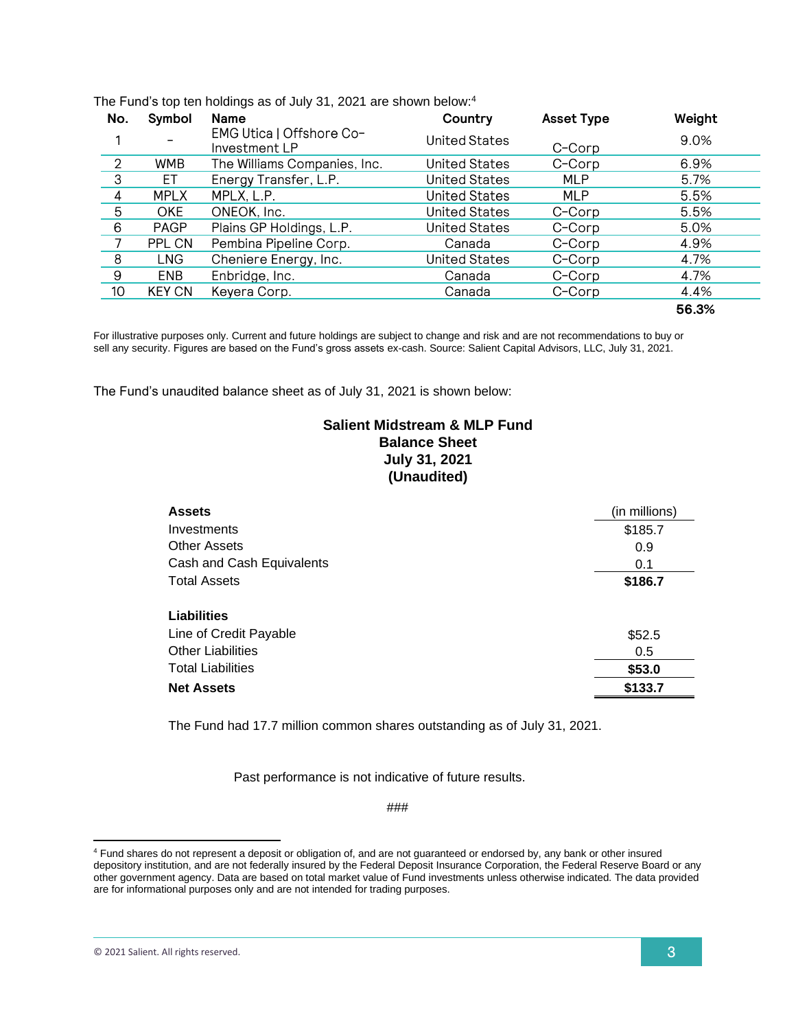| No.             | Symbol        | <b>Name</b>                               | Country              | <b>Asset Type</b> | Weight |
|-----------------|---------------|-------------------------------------------|----------------------|-------------------|--------|
|                 |               | EMG Utica   Offshore Co-<br>Investment LP | United States        | C-Corp            | 9.0%   |
| $\mathcal{P}$   | <b>WMB</b>    | The Williams Companies, Inc.              | <b>United States</b> | C-Corp            | 6.9%   |
| 3               | EТ            | Energy Transfer, L.P.                     | <b>United States</b> | <b>MLP</b>        | 5.7%   |
| 4               | <b>MPLX</b>   | MPLX, L.P.                                | <b>United States</b> | <b>MLP</b>        | 5.5%   |
| 5               | <b>OKE</b>    | ONEOK, Inc.                               | <b>United States</b> | C-Corp            | 5.5%   |
| 6               | <b>PAGP</b>   | Plains GP Holdings, L.P.                  | <b>United States</b> | C-Corp            | 5.0%   |
| 7               | PPL CN        | Pembina Pipeline Corp.                    | Canada               | C-Corp            | 4.9%   |
| 8               | <b>LNG</b>    | Cheniere Energy, Inc.                     | <b>United States</b> | C-Corp            | 4.7%   |
| 9               | <b>ENB</b>    | Enbridge, Inc.                            | Canada               | C-Corp            | 4.7%   |
| 10 <sub>1</sub> | <b>KEY CN</b> | Keyera Corp.                              | Canada               | C-Corp            | 4.4%   |
|                 |               |                                           |                      |                   | 56.3%  |

The Fund's top ten holdings as of July 31, 2021 are shown below: 4

For illustrative purposes only. Current and future holdings are subject to change and risk and are not recommendations to buy or sell any security. Figures are based on the Fund's gross assets ex-cash. Source: Salient Capital Advisors, LLC, July 31, 2021.

The Fund's unaudited balance sheet as of July 31, 2021 is shown below:

## **Salient Midstream & MLP Fund Balance Sheet July 31, 2021 (Unaudited)**

| <b>Assets</b>             | (in millions) |
|---------------------------|---------------|
| Investments               | \$185.7       |
| <b>Other Assets</b>       | 0.9           |
| Cash and Cash Equivalents | 0.1           |
| <b>Total Assets</b>       | \$186.7       |
|                           |               |
| <b>Liabilities</b>        |               |
| Line of Credit Payable    | \$52.5        |
| <b>Other Liabilities</b>  | 0.5           |
| <b>Total Liabilities</b>  | \$53.0        |
| <b>Net Assets</b>         | \$133.7       |

The Fund had 17.7 million common shares outstanding as of July 31, 2021.

Past performance is not indicative of future results.

###

<sup>4</sup> Fund shares do not represent a deposit or obligation of, and are not guaranteed or endorsed by, any bank or other insured depository institution, and are not federally insured by the Federal Deposit Insurance Corporation, the Federal Reserve Board or any other government agency. Data are based on total market value of Fund investments unless otherwise indicated. The data provided are for informational purposes only and are not intended for trading purposes.